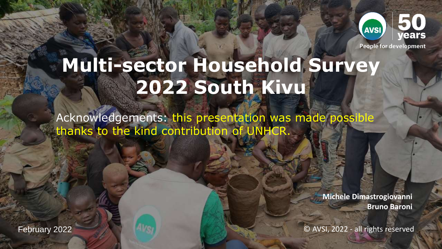

**People for development** 

# **Multi-sector Household Survey 2022 South Kivu**

Acknowledgements: this presentation was made possible thanks to the kind contribution of UNHCR.

> **Michele Dimastrogiovanni Bruno Baroni**

© AVSI, 2022 - all rights reserved

February 2022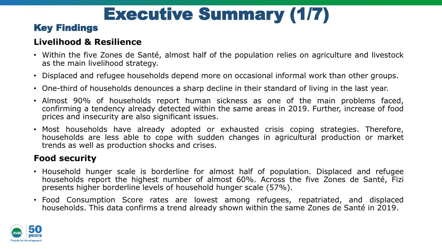# Executive Summary (1/7)

# Key Findings

## **Livelihood & Resilience**

- Within the five Zones de Santé, almost half of the population relies on agriculture and livestock as the main livelihood strategy.
- Displaced and refugee households depend more on occasional informal work than other groups.
- One-third of households denounces a sharp decline in their standard of living in the last year.
- Almost 90% of households report human sickness as one of the main problems faced, confirming a tendency already detected within the same areas in 2019. Further, increase of food prices and insecurity are also significant issues.
- Most households have already adopted or exhausted crisis coping strategies. Therefore, households are less able to cope with sudden changes in agricultural production or market trends as well as production shocks and crises.

## **Food security**

- Household hunger scale is borderline for almost half of population. Displaced and refugee households report the highest number of almost 60%. Across the five Zones de Santé, Fizi presents higher borderline levels of household hunger scale (57%).
- Food Consumption Score rates are lowest among refugees, repatriated, and displaced households. This data confirms a trend already shown within the same Zones de Santé in 2019.

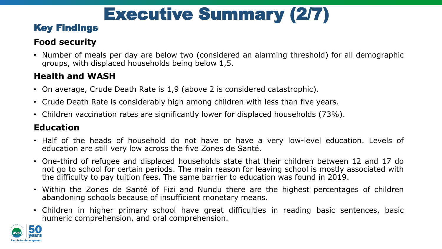# Executive Summary (2/7)

# Key Findings

## **Food security**

• Number of meals per day are below two (considered an alarming threshold) for all demographic groups, with displaced households being below 1,5.

## **Health and WASH**

- On average, Crude Death Rate is 1,9 (above 2 is considered catastrophic).
- Crude Death Rate is considerably high among children with less than five years.
- Children vaccination rates are significantly lower for displaced households (73%).

## **Education**

- Half of the heads of household do not have or have a very low-level education. Levels of education are still very low across the five Zones de Santé.
- One-third of refugee and displaced households state that their children between 12 and 17 do not go to school for certain periods. The main reason for leaving school is mostly associated with the difficulty to pay tuition fees. The same barrier to education was found in 2019.
- Within the Zones de Santé of Fizi and Nundu there are the highest percentages of children abandoning schools because of insufficient monetary means.
- Children in higher primary school have great difficulties in reading basic sentences, basic numeric comprehension, and oral comprehension.

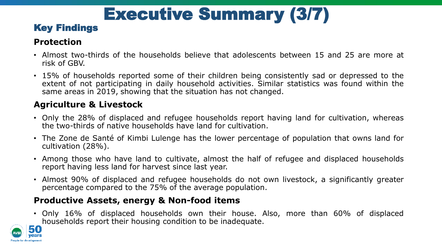# Executive Summary (3/7)

# Key Findings

## **Protection**

- Almost two-thirds of the households believe that adolescents between 15 and 25 are more at risk of GBV.
- 15% of households reported some of their children being consistently sad or depressed to the extent of not participating in daily household activities. Similar statistics was found within the same areas in 2019, showing that the situation has not changed.

#### **Agriculture & Livestock**

- Only the 28% of displaced and refugee households report having land for cultivation, whereas the two-thirds of native households have land for cultivation.
- The Zone de Santé of Kimbi Lulenge has the lower percentage of population that owns land for cultivation (28%).
- Among those who have land to cultivate, almost the half of refugee and displaced households report having less land for harvest since last year.
- Almost 90% of displaced and refugee households do not own livestock, a significantly greater percentage compared to the 75% of the average population.

### **Productive Assets, energy & Non-food items**

• Only 16% of displaced households own their house. Also, more than 60% of displaced households report their housing condition to be inadequate.

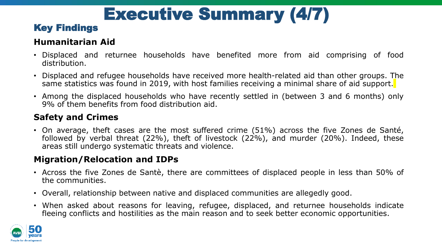# Executive Summary (4/7)

# Key Findings

### **Humanitarian Aid**

- Displaced and returnee households have benefited more from aid comprising of food distribution.
- Displaced and refugee households have received more health-related aid than other groups. The same statistics was found in 2019, with host families receiving a minimal share of aid support.
- Among the displaced households who have recently settled in (between 3 and 6 months) only 9% of them benefits from food distribution aid.

## **Safety and Crimes**

• On average, theft cases are the most suffered crime (51%) across the five Zones de Santé, followed by verbal threat (22%), theft of livestock (22%), and murder (20%). Indeed, these areas still undergo systematic threats and violence.

### **Migration/Relocation and IDPs**

- Across the five Zones de Santè, there are committees of displaced people in less than 50% of the communities.
- Overall, relationship between native and displaced communities are allegedly good.
- When asked about reasons for leaving, refugee, displaced, and returnee households indicate fleeing conflicts and hostilities as the main reason and to seek better economic opportunities.

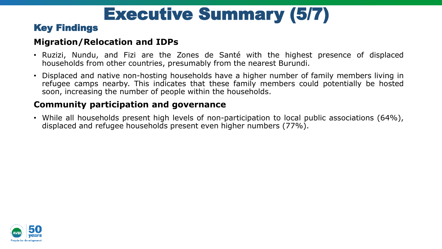# Executive Summary (5/7)

## Key Findings

#### **Migration/Relocation and IDPs**

- Ruzizi, Nundu, and Fizi are the Zones de Santé with the highest presence of displaced households from other countries, presumably from the nearest Burundi.
- Displaced and native non-hosting households have a higher number of family members living in refugee camps nearby. This indicates that these family members could potentially be hosted soon, increasing the number of people within the households.

### **Community participation and governance**

• While all households present high levels of non-participation to local public associations (64%), displaced and refugee households present even higher numbers (77%).

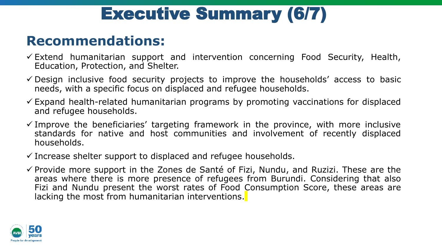# Executive Summary (6/7)

# **Recommendations:**

- $\checkmark$  Extend humanitarian support and intervention concerning Food Security, Health, Education, Protection, and Shelter.
- $\checkmark$  Design inclusive food security projects to improve the households' access to basic needs, with a specific focus on displaced and refugee households.
- $\checkmark$  Expand health-related humanitarian programs by promoting vaccinations for displaced and refugee households.
- $\checkmark$  Improve the beneficiaries' targeting framework in the province, with more inclusive standards for native and host communities and involvement of recently displaced households.
- $\checkmark$  Increase shelter support to displaced and refugee households.
- $\checkmark$  Provide more support in the Zones de Santé of Fizi, Nundu, and Ruzizi. These are the areas where there is more presence of refugees from Burundi. Considering that also Fizi and Nundu present the worst rates of Food Consumption Score, these areas are lacking the most from humanitarian interventions.